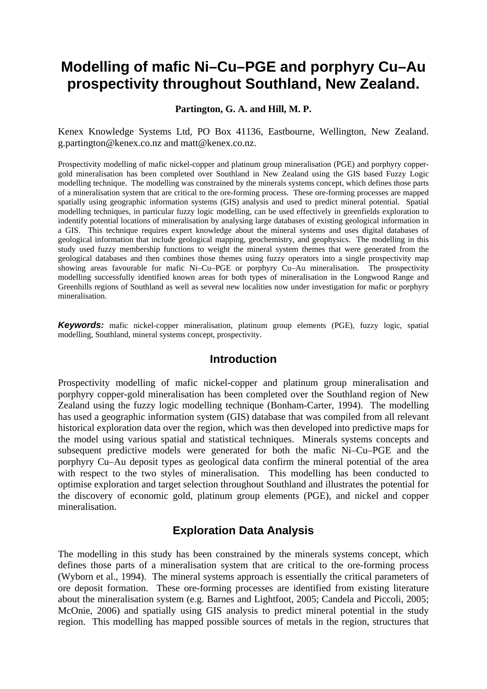# **Modelling of mafic Ni–Cu–PGE and porphyry Cu–Au prospectivity throughout Southland, New Zealand.**

**Partington, G. A. and Hill, M. P.** 

Kenex Knowledge Systems Ltd, PO Box 41136, Eastbourne, Wellington, New Zealand. g.partington@kenex.co.nz and matt@kenex.co.nz.

Prospectivity modelling of mafic nickel-copper and platinum group mineralisation (PGE) and porphyry coppergold mineralisation has been completed over Southland in New Zealand using the GIS based Fuzzy Logic modelling technique. The modelling was constrained by the minerals systems concept, which defines those parts of a mineralisation system that are critical to the ore-forming process. These ore-forming processes are mapped spatially using geographic information systems (GIS) analysis and used to predict mineral potential. Spatial modelling techniques, in particular fuzzy logic modelling, can be used effectively in greenfields exploration to indentify potential locations of mineralisation by analysing large databases of existing geological information in a GIS. This technique requires expert knowledge about the mineral systems and uses digital databases of geological information that include geological mapping, geochemistry, and geophysics. The modelling in this study used fuzzy membership functions to weight the mineral system themes that were generated from the geological databases and then combines those themes using fuzzy operators into a single prospectivity map showing areas favourable for mafic Ni–Cu–PGE or porphyry Cu–Au mineralisation. The prospectivity modelling successfully identified known areas for both types of mineralisation in the Longwood Range and Greenhills regions of Southland as well as several new localities now under investigation for mafic or porphyry mineralisation.

*Keywords:* mafic nickel-copper mineralisation, platinum group elements (PGE), fuzzy logic, spatial modelling, Southland, mineral systems concept, prospectivity.

#### **Introduction**

Prospectivity modelling of mafic nickel-copper and platinum group mineralisation and porphyry copper-gold mineralisation has been completed over the Southland region of New Zealand using the fuzzy logic modelling technique (Bonham-Carter, 1994). The modelling has used a geographic information system (GIS) database that was compiled from all relevant historical exploration data over the region, which was then developed into predictive maps for the model using various spatial and statistical techniques. Minerals systems concepts and subsequent predictive models were generated for both the mafic Ni–Cu–PGE and the porphyry Cu–Au deposit types as geological data confirm the mineral potential of the area with respect to the two styles of mineralisation. This modelling has been conducted to optimise exploration and target selection throughout Southland and illustrates the potential for the discovery of economic gold, platinum group elements (PGE), and nickel and copper mineralisation.

#### **Exploration Data Analysis**

The modelling in this study has been constrained by the minerals systems concept, which defines those parts of a mineralisation system that are critical to the ore-forming process (Wyborn et al., 1994). The mineral systems approach is essentially the critical parameters of ore deposit formation. These ore-forming processes are identified from existing literature about the mineralisation system (e.g. Barnes and Lightfoot, 2005; Candela and Piccoli, 2005; McOnie, 2006) and spatially using GIS analysis to predict mineral potential in the study region. This modelling has mapped possible sources of metals in the region, structures that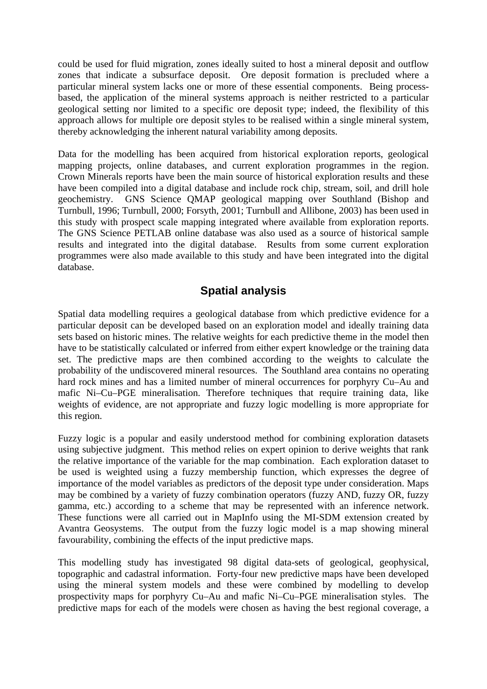could be used for fluid migration, zones ideally suited to host a mineral deposit and outflow zones that indicate a subsurface deposit. Ore deposit formation is precluded where a particular mineral system lacks one or more of these essential components. Being processbased, the application of the mineral systems approach is neither restricted to a particular geological setting nor limited to a specific ore deposit type; indeed, the flexibility of this approach allows for multiple ore deposit styles to be realised within a single mineral system, thereby acknowledging the inherent natural variability among deposits.

Data for the modelling has been acquired from historical exploration reports, geological mapping projects, online databases, and current exploration programmes in the region. Crown Minerals reports have been the main source of historical exploration results and these have been compiled into a digital database and include rock chip, stream, soil, and drill hole geochemistry. GNS Science QMAP geological mapping over Southland (Bishop and Turnbull, 1996; Turnbull, 2000; Forsyth, 2001; Turnbull and Allibone, 2003) has been used in this study with prospect scale mapping integrated where available from exploration reports. The GNS Science PETLAB online database was also used as a source of historical sample results and integrated into the digital database. Results from some current exploration programmes were also made available to this study and have been integrated into the digital database.

# **Spatial analysis**

Spatial data modelling requires a geological database from which predictive evidence for a particular deposit can be developed based on an exploration model and ideally training data sets based on historic mines. The relative weights for each predictive theme in the model then have to be statistically calculated or inferred from either expert knowledge or the training data set. The predictive maps are then combined according to the weights to calculate the probability of the undiscovered mineral resources. The Southland area contains no operating hard rock mines and has a limited number of mineral occurrences for porphyry Cu–Au and mafic Ni–Cu–PGE mineralisation. Therefore techniques that require training data, like weights of evidence, are not appropriate and fuzzy logic modelling is more appropriate for this region.

Fuzzy logic is a popular and easily understood method for combining exploration datasets using subjective judgment. This method relies on expert opinion to derive weights that rank the relative importance of the variable for the map combination. Each exploration dataset to be used is weighted using a fuzzy membership function, which expresses the degree of importance of the model variables as predictors of the deposit type under consideration. Maps may be combined by a variety of fuzzy combination operators (fuzzy AND, fuzzy OR, fuzzy gamma, etc.) according to a scheme that may be represented with an inference network. These functions were all carried out in MapInfo using the MI-SDM extension created by Avantra Geosystems. The output from the fuzzy logic model is a map showing mineral favourability, combining the effects of the input predictive maps.

This modelling study has investigated 98 digital data-sets of geological, geophysical, topographic and cadastral information. Forty-four new predictive maps have been developed using the mineral system models and these were combined by modelling to develop prospectivity maps for porphyry Cu–Au and mafic Ni–Cu–PGE mineralisation styles. The predictive maps for each of the models were chosen as having the best regional coverage, a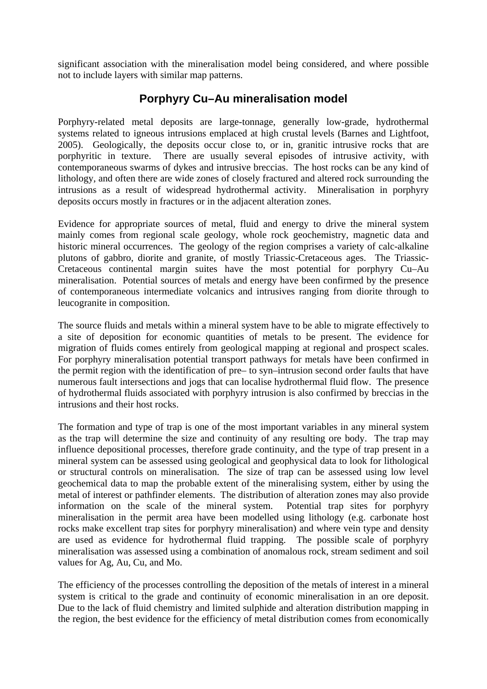significant association with the mineralisation model being considered, and where possible not to include layers with similar map patterns.

# **Porphyry Cu–Au mineralisation model**

Porphyry-related metal deposits are large-tonnage, generally low-grade, hydrothermal systems related to igneous intrusions emplaced at high crustal levels (Barnes and Lightfoot, 2005). Geologically, the deposits occur close to, or in, granitic intrusive rocks that are porphyritic in texture. There are usually several episodes of intrusive activity, with contemporaneous swarms of dykes and intrusive breccias. The host rocks can be any kind of lithology, and often there are wide zones of closely fractured and altered rock surrounding the intrusions as a result of widespread hydrothermal activity. Mineralisation in porphyry deposits occurs mostly in fractures or in the adjacent alteration zones.

Evidence for appropriate sources of metal, fluid and energy to drive the mineral system mainly comes from regional scale geology, whole rock geochemistry, magnetic data and historic mineral occurrences. The geology of the region comprises a variety of calc-alkaline plutons of gabbro, diorite and granite, of mostly Triassic-Cretaceous ages. The Triassic-Cretaceous continental margin suites have the most potential for porphyry Cu–Au mineralisation. Potential sources of metals and energy have been confirmed by the presence of contemporaneous intermediate volcanics and intrusives ranging from diorite through to leucogranite in composition.

The source fluids and metals within a mineral system have to be able to migrate effectively to a site of deposition for economic quantities of metals to be present. The evidence for migration of fluids comes entirely from geological mapping at regional and prospect scales. For porphyry mineralisation potential transport pathways for metals have been confirmed in the permit region with the identification of pre– to syn–intrusion second order faults that have numerous fault intersections and jogs that can localise hydrothermal fluid flow. The presence of hydrothermal fluids associated with porphyry intrusion is also confirmed by breccias in the intrusions and their host rocks.

The formation and type of trap is one of the most important variables in any mineral system as the trap will determine the size and continuity of any resulting ore body. The trap may influence depositional processes, therefore grade continuity, and the type of trap present in a mineral system can be assessed using geological and geophysical data to look for lithological or structural controls on mineralisation. The size of trap can be assessed using low level geochemical data to map the probable extent of the mineralising system, either by using the metal of interest or pathfinder elements. The distribution of alteration zones may also provide information on the scale of the mineral system. Potential trap sites for porphyry mineralisation in the permit area have been modelled using lithology (e.g. carbonate host rocks make excellent trap sites for porphyry mineralisation) and where vein type and density are used as evidence for hydrothermal fluid trapping. The possible scale of porphyry mineralisation was assessed using a combination of anomalous rock, stream sediment and soil values for Ag, Au, Cu, and Mo.

The efficiency of the processes controlling the deposition of the metals of interest in a mineral system is critical to the grade and continuity of economic mineralisation in an ore deposit. Due to the lack of fluid chemistry and limited sulphide and alteration distribution mapping in the region, the best evidence for the efficiency of metal distribution comes from economically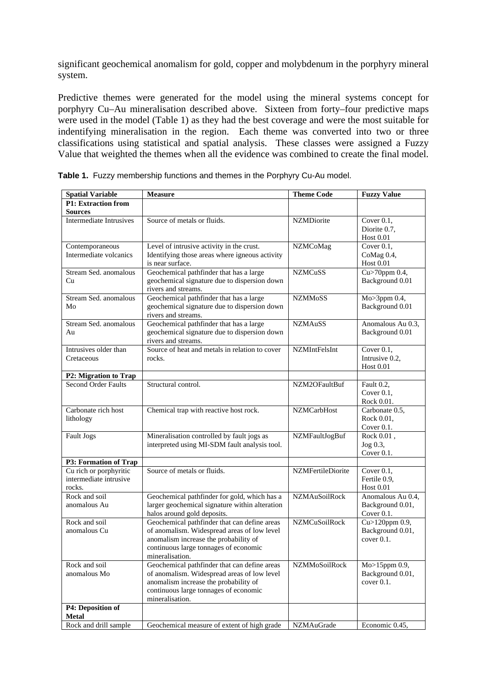significant geochemical anomalism for gold, copper and molybdenum in the porphyry mineral system.

Predictive themes were generated for the model using the mineral systems concept for porphyry Cu–Au mineralisation described above. Sixteen from forty–four predictive maps were used in the model (Table 1) as they had the best coverage and were the most suitable for indentifying mineralisation in the region. Each theme was converted into two or three classifications using statistical and spatial analysis. These classes were assigned a Fuzzy Value that weighted the themes when all the evidence was combined to create the final model.

| <b>Spatial Variable</b>                          | <b>Measure</b>                                                 | <b>Theme Code</b>    | <b>Fuzzy Value</b>         |
|--------------------------------------------------|----------------------------------------------------------------|----------------------|----------------------------|
| <b>P1: Extraction from</b>                       |                                                                |                      |                            |
| <b>Sources</b>                                   |                                                                |                      |                            |
| <b>Intermediate Intrusives</b>                   | Source of metals or fluids.                                    | <b>NZMDiorite</b>    | Cover $0.1$ ,              |
|                                                  |                                                                |                      | Diorite 0.7,               |
|                                                  |                                                                |                      | <b>Host 0.01</b>           |
| Contemporaneous                                  | Level of intrusive activity in the crust.                      | <b>NZMCoMag</b>      | Cover $0.1$ ,              |
| Intermediate volcanics                           | Identifying those areas where igneous activity                 |                      | CoMag 0.4,                 |
|                                                  | is near surface.                                               |                      | <b>Host 0.01</b>           |
| Stream Sed. anomalous                            | Geochemical pathfinder that has a large                        | <b>NZMCuSS</b>       | $Cu$ >70ppm 0.4,           |
| Cu                                               | geochemical signature due to dispersion down                   |                      | Background 0.01            |
|                                                  | rivers and streams.                                            |                      |                            |
| Stream Sed. anomalous                            | Geochemical pathfinder that has a large                        | <b>NZMMoSS</b>       | Mo>3ppm 0.4,               |
| Mo                                               | geochemical signature due to dispersion down                   |                      | Background 0.01            |
| Stream Sed. anomalous                            | rivers and streams.<br>Geochemical pathfinder that has a large | <b>NZMAuSS</b>       | Anomalous Au 0.3,          |
| Au                                               | geochemical signature due to dispersion down                   |                      | Background 0.01            |
|                                                  | rivers and streams.                                            |                      |                            |
| Intrusives older than                            | Source of heat and metals in relation to cover                 | <b>NZMIntFelsInt</b> | Cover $0.1$ ,              |
| Cretaceous                                       | rocks.                                                         |                      | Intrusive 0.2,             |
|                                                  |                                                                |                      | <b>Host 0.01</b>           |
| <b>P2: Migration to Trap</b>                     |                                                                |                      |                            |
| <b>Second Order Faults</b>                       | Structural control.                                            | NZM2OFaultBuf        | Fault 0.2.                 |
|                                                  |                                                                |                      | Cover $0.1$ ,              |
|                                                  |                                                                |                      | Rock 0.01.                 |
| Carbonate rich host                              | Chemical trap with reactive host rock.                         | <b>NZMCarbHost</b>   | Carbonate 0.5,             |
| lithology                                        |                                                                |                      | Rock 0.01,                 |
|                                                  |                                                                |                      | Cover 0.1.                 |
| Fault Jogs                                       | Mineralisation controlled by fault jogs as                     | NZMFaultJogBuf       | Rock 0.01,                 |
|                                                  | interpreted using MI-SDM fault analysis tool.                  |                      | Jog 0.3,                   |
|                                                  |                                                                |                      | Cover $0.1$ .              |
| P3: Formation of Trap                            | Source of metals or fluids.                                    |                      |                            |
| Cu rich or porphyritic<br>intermediate intrusive |                                                                | NZMFertileDiorite    | Cover 0.1,<br>Fertile 0.9, |
| rocks.                                           |                                                                |                      | <b>Host 0.01</b>           |
| Rock and soil                                    | Geochemical pathfinder for gold, which has a                   | <b>NZMAuSoilRock</b> | Anomalous Au 0.4,          |
| anomalous Au                                     | larger geochemical signature within alteration                 |                      | Background 0.01,           |
|                                                  | halos around gold deposits.                                    |                      | Cover 0.1.                 |
| Rock and soil                                    | Geochemical pathfinder that can define areas                   | <b>NZMCuSoilRock</b> | Cu>120ppm 0.9,             |
| anomalous Cu                                     | of anomalism. Widespread areas of low level                    |                      | Background 0.01,           |
|                                                  | anomalism increase the probability of                          |                      | cover 0.1.                 |
|                                                  | continuous large tonnages of economic                          |                      |                            |
|                                                  | mineralisation.                                                |                      |                            |
| Rock and soil                                    | Geochemical pathfinder that can define areas                   | NZMMoSoilRock        | Mo>15ppm 0.9,              |
| anomalous Mo                                     | of anomalism. Widespread areas of low level                    |                      | Background 0.01,           |
|                                                  | anomalism increase the probability of                          |                      | cover 0.1.                 |
|                                                  | continuous large tonnages of economic                          |                      |                            |
|                                                  | mineralisation.                                                |                      |                            |
| P4: Deposition of                                |                                                                |                      |                            |
| <b>Metal</b>                                     |                                                                |                      |                            |
| Rock and drill sample                            | Geochemical measure of extent of high grade                    | NZMAuGrade           | Economic 0.45,             |

**Table 1.** Fuzzy membership functions and themes in the Porphyry Cu-Au model.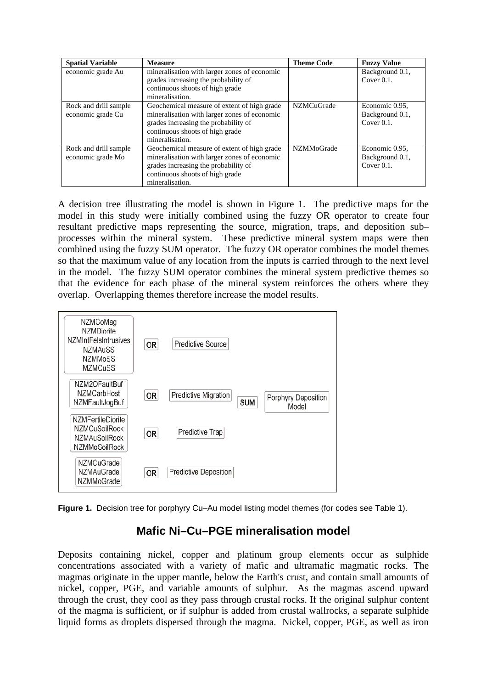| <b>Spatial Variable</b>                    | <b>Measure</b>                                                                                                                                                                            | <b>Theme Code</b> | <b>Fuzzy Value</b>                                 |
|--------------------------------------------|-------------------------------------------------------------------------------------------------------------------------------------------------------------------------------------------|-------------------|----------------------------------------------------|
| economic grade Au                          | mineralisation with larger zones of economic<br>grades increasing the probability of                                                                                                      |                   | Background 0.1,<br>Cover $0.1$ .                   |
|                                            | continuous shoots of high grade<br>mineralisation.                                                                                                                                        |                   |                                                    |
| Rock and drill sample<br>economic grade Cu | Geochemical measure of extent of high grade<br>mineralisation with larger zones of economic<br>grades increasing the probability of<br>continuous shoots of high grade<br>mineralisation. | <b>NZMCuGrade</b> | Economic 0.95.<br>Background 0.1,<br>Cover $0.1$ . |
| Rock and drill sample<br>economic grade Mo | Geochemical measure of extent of high grade<br>mineralisation with larger zones of economic<br>grades increasing the probability of<br>continuous shoots of high grade<br>mineralisation. | <b>NZMMoGrade</b> | Economic 0.95,<br>Background 0.1,<br>Cover $0.1$ . |

A decision tree illustrating the model is shown in Figure 1. The predictive maps for the model in this study were initially combined using the fuzzy OR operator to create four resultant predictive maps representing the source, migration, traps, and deposition sub– processes within the mineral system. These predictive mineral system maps were then combined using the fuzzy SUM operator. The fuzzy OR operator combines the model themes so that the maximum value of any location from the inputs is carried through to the next level in the model. The fuzzy SUM operator combines the mineral system predictive themes so that the evidence for each phase of the mineral system reinforces the others where they overlap. Overlapping themes therefore increase the model results.



**Figure 1.** Decision tree for porphyry Cu–Au model listing model themes (for codes see Table 1).

# **Mafic Ni–Cu–PGE mineralisation model**

Deposits containing nickel, copper and platinum group elements occur as sulphide concentrations associated with a variety of mafic and ultramafic magmatic rocks. The magmas originate in the upper mantle, below the Earth's crust, and contain small amounts of nickel, copper, PGE, and variable amounts of sulphur. As the magmas ascend upward through the crust, they cool as they pass through crustal rocks. If the original sulphur content of the magma is sufficient, or if sulphur is added from crustal wallrocks, a separate sulphide liquid forms as droplets dispersed through the magma. Nickel, copper, PGE, as well as iron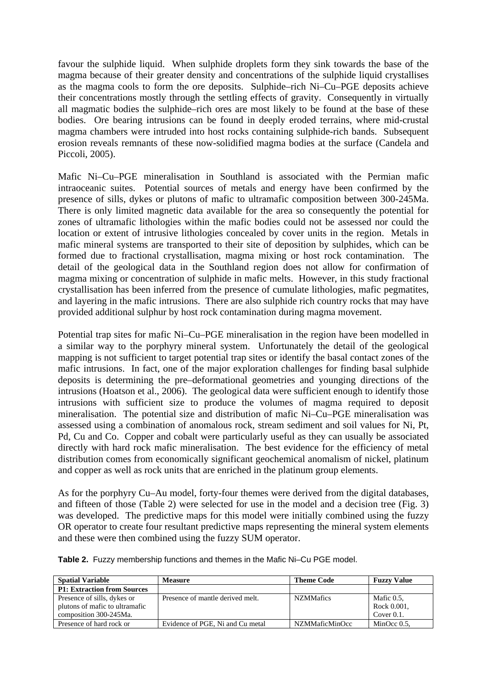favour the sulphide liquid. When sulphide droplets form they sink towards the base of the magma because of their greater density and concentrations of the sulphide liquid crystallises as the magma cools to form the ore deposits. Sulphide–rich Ni–Cu–PGE deposits achieve their concentrations mostly through the settling effects of gravity. Consequently in virtually all magmatic bodies the sulphide–rich ores are most likely to be found at the base of these bodies. Ore bearing intrusions can be found in deeply eroded terrains, where mid-crustal magma chambers were intruded into host rocks containing sulphide-rich bands. Subsequent erosion reveals remnants of these now-solidified magma bodies at the surface (Candela and Piccoli, 2005).

Mafic Ni–Cu–PGE mineralisation in Southland is associated with the Permian mafic intraoceanic suites. Potential sources of metals and energy have been confirmed by the presence of sills, dykes or plutons of mafic to ultramafic composition between 300-245Ma. There is only limited magnetic data available for the area so consequently the potential for zones of ultramafic lithologies within the mafic bodies could not be assessed nor could the location or extent of intrusive lithologies concealed by cover units in the region. Metals in mafic mineral systems are transported to their site of deposition by sulphides, which can be formed due to fractional crystallisation, magma mixing or host rock contamination. The detail of the geological data in the Southland region does not allow for confirmation of magma mixing or concentration of sulphide in mafic melts. However, in this study fractional crystallisation has been inferred from the presence of cumulate lithologies, mafic pegmatites, and layering in the mafic intrusions. There are also sulphide rich country rocks that may have provided additional sulphur by host rock contamination during magma movement.

Potential trap sites for mafic Ni–Cu–PGE mineralisation in the region have been modelled in a similar way to the porphyry mineral system. Unfortunately the detail of the geological mapping is not sufficient to target potential trap sites or identify the basal contact zones of the mafic intrusions. In fact, one of the major exploration challenges for finding basal sulphide deposits is determining the pre–deformational geometries and younging directions of the intrusions (Hoatson et al., 2006). The geological data were sufficient enough to identify those intrusions with sufficient size to produce the volumes of magma required to deposit mineralisation. The potential size and distribution of mafic Ni–Cu–PGE mineralisation was assessed using a combination of anomalous rock, stream sediment and soil values for Ni, Pt, Pd, Cu and Co. Copper and cobalt were particularly useful as they can usually be associated directly with hard rock mafic mineralisation. The best evidence for the efficiency of metal distribution comes from economically significant geochemical anomalism of nickel, platinum and copper as well as rock units that are enriched in the platinum group elements.

As for the porphyry Cu–Au model, forty-four themes were derived from the digital databases, and fifteen of those (Table 2) were selected for use in the model and a decision tree (Fig. 3) was developed. The predictive maps for this model were initially combined using the fuzzy OR operator to create four resultant predictive maps representing the mineral system elements and these were then combined using the fuzzy SUM operator.

| <b>Spatial Variable</b>            | <b>Measure</b>                   | <b>Theme Code</b> | <b>Fuzzy Value</b> |
|------------------------------------|----------------------------------|-------------------|--------------------|
| <b>P1: Extraction from Sources</b> |                                  |                   |                    |
| Presence of sills, dykes or        | Presence of mantle derived melt. | <b>NZMMafics</b>  | Mafic 0.5,         |
| plutons of mafic to ultramafic     |                                  |                   | Rock 0.001,        |
| composition 300-245Ma.             |                                  |                   | Cover $0.1$ .      |
| Presence of hard rock or           | Evidence of PGE. Ni and Cu metal | NZMMaficMinOcc    | MinOcc $0.5$ .     |

**Table 2.** Fuzzy membership functions and themes in the Mafic Ni–Cu PGE model.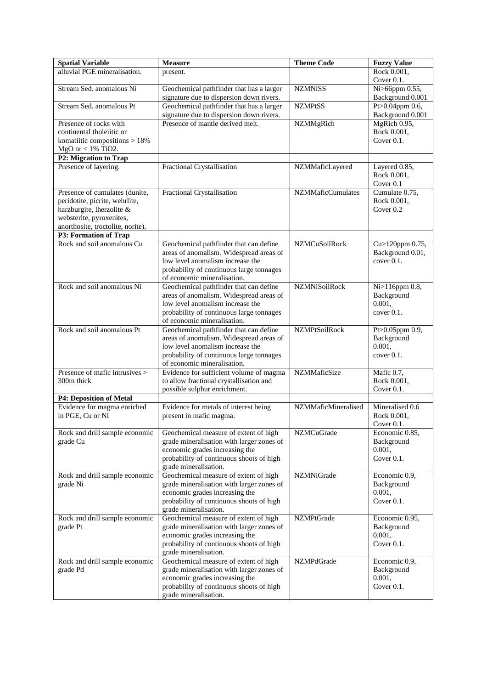| <b>Spatial Variable</b>                                     | <b>Measure</b>                                                                       | <b>Theme Code</b>        | <b>Fuzzy Value</b>                  |
|-------------------------------------------------------------|--------------------------------------------------------------------------------------|--------------------------|-------------------------------------|
| alluvial PGE mineralisation.                                | present.                                                                             |                          | Rock 0.001,<br>Cover 0.1.           |
| Stream Sed. anomalous Ni                                    | Geochemical pathfinder that has a larger<br>signature due to dispersion down rivers. | <b>NZMNiSS</b>           | Ni>66ppm 0.55,<br>Background 0.001  |
| Stream Sed. anomalous Pt                                    | Geochemical pathfinder that has a larger<br>signature due to dispersion down rivers. | <b>NZMPtSS</b>           | Pt>0.04ppm 0.6,<br>Background 0.001 |
| Presence of rocks with                                      | Presence of mantle derived melt.                                                     | NZMMgRich                | MgRich 0.95,                        |
| continental tholeiitic or                                   |                                                                                      |                          | Rock 0.001,                         |
| komatiitic compositions $> 18\%$<br>$MgO$ or < 1% TiO2.     |                                                                                      |                          | Cover $0.1$ .                       |
| P2: Migration to Trap                                       |                                                                                      |                          |                                     |
| Presence of layering.                                       | Fractional Crystallisation                                                           | NZMMaficLayered          | Layered 0.85,                       |
|                                                             |                                                                                      |                          | Rock 0.001,<br>Cover 0.1            |
| Presence of cumulates (dunite,                              | Fractional Crystallisation                                                           | <b>NZMMaficCumulates</b> | Cumulate 0.75,                      |
| peridotite, picrite, wehrlite,<br>harzburgite, lherzolite & |                                                                                      |                          | Rock 0.001,<br>Cover 0.2            |
| websterite, pyroxenites,                                    |                                                                                      |                          |                                     |
| anorthosite, troctolite, norite).                           |                                                                                      |                          |                                     |
| P3: Formation of Trap                                       |                                                                                      |                          |                                     |
| Rock and soil anomalous Cu                                  | Geochemical pathfinder that can define                                               | <b>NZMCuSoilRock</b>     | Cu>120ppm 0.75,                     |
|                                                             | areas of anomalism. Widespread areas of<br>low level anomalism increase the          |                          | Background 0.01,<br>cover 0.1.      |
|                                                             | probability of continuous large tonnages                                             |                          |                                     |
|                                                             | of economic mineralisation.                                                          |                          |                                     |
| Rock and soil anomalous Ni                                  | Geochemical pathfinder that can define                                               | <b>NZMNiSoilRock</b>     | Ni>116ppm 0.8,                      |
|                                                             | areas of anomalism. Widespread areas of                                              |                          | Background                          |
|                                                             | low level anomalism increase the<br>probability of continuous large tonnages         |                          | 0.001,<br>cover 0.1.                |
|                                                             | of economic mineralisation.                                                          |                          |                                     |
| Rock and soil anomalous Pt                                  | Geochemical pathfinder that can define                                               | <b>NZMPtSoilRock</b>     | Pt>0.05ppm 0.9,                     |
|                                                             | areas of anomalism. Widespread areas of                                              |                          | Background                          |
|                                                             | low level anomalism increase the<br>probability of continuous large tonnages         |                          | 0.001,<br>cover 0.1.                |
|                                                             | of economic mineralisation.                                                          |                          |                                     |
| Presence of mafic intrusives >                              | Evidence for sufficient volume of magma                                              | <b>NZMMaficSize</b>      | Mafic 0.7,                          |
| 300m thick                                                  | to allow fractional crystallisation and                                              |                          | Rock 0.001,                         |
| <b>P4: Deposition of Metal</b>                              | possible sulphur enrichment.                                                         |                          | Cover $0.1$ .                       |
| Evidence for magma enriched                                 | Evidence for metals of interest being                                                | NZMMaficMineralised      | Mineralised 0.6                     |
| in PGE, Cu or Ni                                            | present in mafic magma.                                                              |                          | Rock 0.001,                         |
|                                                             |                                                                                      |                          | Cover 0.1.                          |
| Rock and drill sample economic                              | Geochemical measure of extent of high                                                | <b>NZMCuGrade</b>        | Economic 0.85,                      |
| grade Cu                                                    | grade mineralisation with larger zones of<br>economic grades increasing the          |                          | Background<br>0.001,                |
|                                                             | probability of continuous shoots of high                                             |                          | Cover $0.1$ .                       |
|                                                             | grade mineralisation.                                                                |                          |                                     |
| Rock and drill sample economic                              | Geochemical measure of extent of high                                                | NZMNiGrade               | Economic 0.9,                       |
| grade Ni                                                    | grade mineralisation with larger zones of<br>economic grades increasing the          |                          | Background<br>0.001,                |
|                                                             | probability of continuous shoots of high                                             |                          | Cover 0.1.                          |
|                                                             | grade mineralisation.                                                                |                          |                                     |
| Rock and drill sample economic                              | Geochemical measure of extent of high                                                | <b>NZMPtGrade</b>        | Economic 0.95,                      |
| grade Pt                                                    | grade mineralisation with larger zones of                                            |                          | Background                          |
|                                                             | economic grades increasing the<br>probability of continuous shoots of high           |                          | 0.001,<br>Cover $0.1$ .             |
|                                                             | grade mineralisation.                                                                |                          |                                     |
| Rock and drill sample economic                              | Geochemical measure of extent of high                                                | NZMPdGrade               | Economic 0.9,                       |
| grade Pd                                                    | grade mineralisation with larger zones of                                            |                          | Background                          |
|                                                             | economic grades increasing the<br>probability of continuous shoots of high           |                          | 0.001,<br>Cover 0.1.                |
|                                                             | grade mineralisation.                                                                |                          |                                     |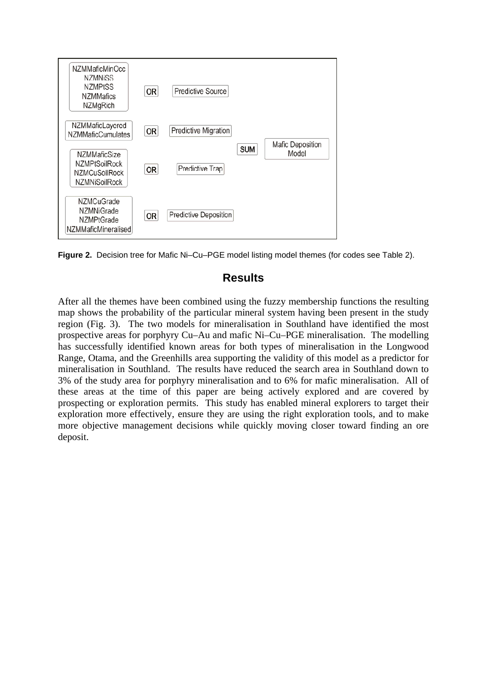

**Figure 2.** Decision tree for Mafic Ni–Cu–PGE model listing model themes (for codes see Table 2).

### **Results**

After all the themes have been combined using the fuzzy membership functions the resulting map shows the probability of the particular mineral system having been present in the study region (Fig. 3). The two models for mineralisation in Southland have identified the most prospective areas for porphyry Cu–Au and mafic Ni–Cu–PGE mineralisation. The modelling has successfully identified known areas for both types of mineralisation in the Longwood Range, Otama, and the Greenhills area supporting the validity of this model as a predictor for mineralisation in Southland. The results have reduced the search area in Southland down to 3% of the study area for porphyry mineralisation and to 6% for mafic mineralisation. All of these areas at the time of this paper are being actively explored and are covered by prospecting or exploration permits. This study has enabled mineral explorers to target their exploration more effectively, ensure they are using the right exploration tools, and to make more objective management decisions while quickly moving closer toward finding an ore deposit.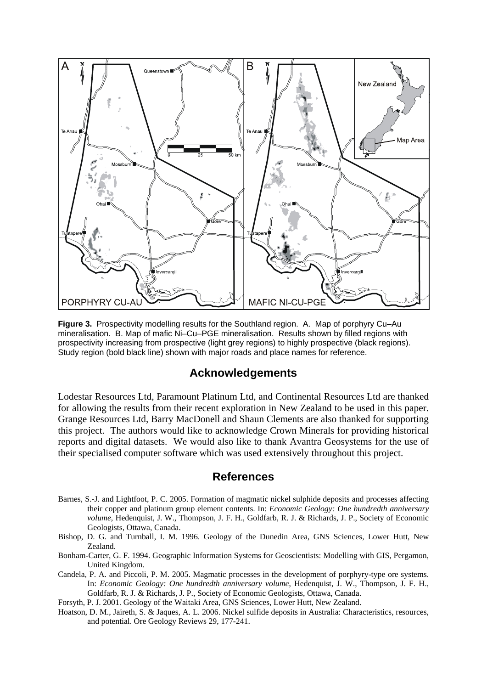

**Figure 3.** Prospectivity modelling results for the Southland region. A. Map of porphyry Cu–Au mineralisation. B. Map of mafic Ni–Cu–PGE mineralisation. Results shown by filled regions with prospectivity increasing from prospective (light grey regions) to highly prospective (black regions). Study region (bold black line) shown with major roads and place names for reference.

#### **Acknowledgements**

Lodestar Resources Ltd, Paramount Platinum Ltd, and Continental Resources Ltd are thanked for allowing the results from their recent exploration in New Zealand to be used in this paper. Grange Resources Ltd, Barry MacDonell and Shaun Clements are also thanked for supporting this project. The authors would like to acknowledge Crown Minerals for providing historical reports and digital datasets. We would also like to thank Avantra Geosystems for the use of their specialised computer software which was used extensively throughout this project.

#### **References**

- Barnes, S.-J. and Lightfoot, P. C. 2005. Formation of magmatic nickel sulphide deposits and processes affecting their copper and platinum group element contents. In: *Economic Geology: One hundredth anniversary volume*, Hedenquist, J. W., Thompson, J. F. H., Goldfarb, R. J. & Richards, J. P., Society of Economic Geologists, Ottawa, Canada.
- Bishop, D. G. and Turnball, I. M. 1996. Geology of the Dunedin Area, GNS Sciences, Lower Hutt, New Zealand.
- Bonham-Carter, G. F. 1994. Geographic Information Systems for Geoscientists: Modelling with GIS, Pergamon, United Kingdom.
- Candela, P. A. and Piccoli, P. M. 2005. Magmatic processes in the development of porphyry-type ore systems. In: *Economic Geology: One hundredth anniversary volume*, Hedenquist, J. W., Thompson, J. F. H., Goldfarb, R. J. & Richards, J. P., Society of Economic Geologists, Ottawa, Canada.

Forsyth, P. J. 2001. Geology of the Waitaki Area, GNS Sciences, Lower Hutt, New Zealand.

Hoatson, D. M., Jaireth, S. & Jaques, A. L. 2006. Nickel sulfide deposits in Australia: Characteristics, resources, and potential. Ore Geology Reviews 29, 177-241.